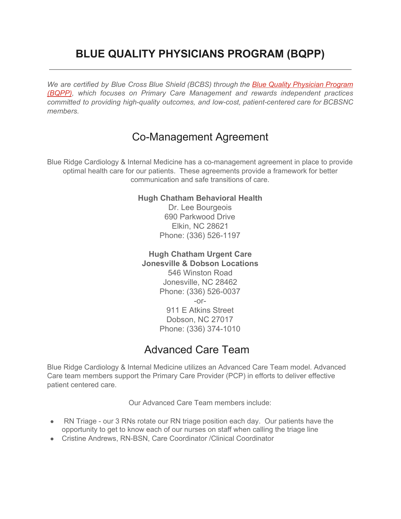## **BLUE QUALITY PHYSICIANS PROGRAM (BQPP)**

*We are certified by Blue Cross Blue Shield (BCBS) through the Blue Quality [Physician](http://www.bcbsnc.com/content/providers/bqpp/bqpp2016/index.htm) Program [\(BQPP\),](http://www.bcbsnc.com/content/providers/bqpp/bqpp2016/index.htm) which focuses on Primary Care Management and rewards independent practices committed to providing high-quality outcomes, and low-cost, patient-centered care for BCBSNC members.*

## Co-Management Agreement

Blue Ridge Cardiology & Internal Medicine has a co-management agreement in place to provide optimal health care for our patients. These agreements provide a framework for better communication and safe transitions of care.

## **Hugh Chatham Behavioral Health**

Dr. Lee Bourgeois 690 Parkwood Drive Elkin, NC 28621 Phone: (336) 526-1197

**Hugh Chatham Urgent Care Jonesville & Dobson Locations** 546 Winston Road Jonesville, NC 28462 Phone: (336) 526-0037  $-0r-$ 911 E Atkins Street Dobson, NC 27017 Phone: (336) 374-1010

## Advanced Care Team

Blue Ridge Cardiology & Internal Medicine utilizes an Advanced Care Team model. Advanced Care team members support the Primary Care Provider (PCP) in efforts to deliver effective patient centered care.

Our Advanced Care Team members include:

- RN Triage our 3 RNs rotate our RN triage position each day. Our patients have the opportunity to get to know each of our nurses on staff when calling the triage line
- Cristine Andrews, RN-BSN, Care Coordinator /Clinical Coordinator